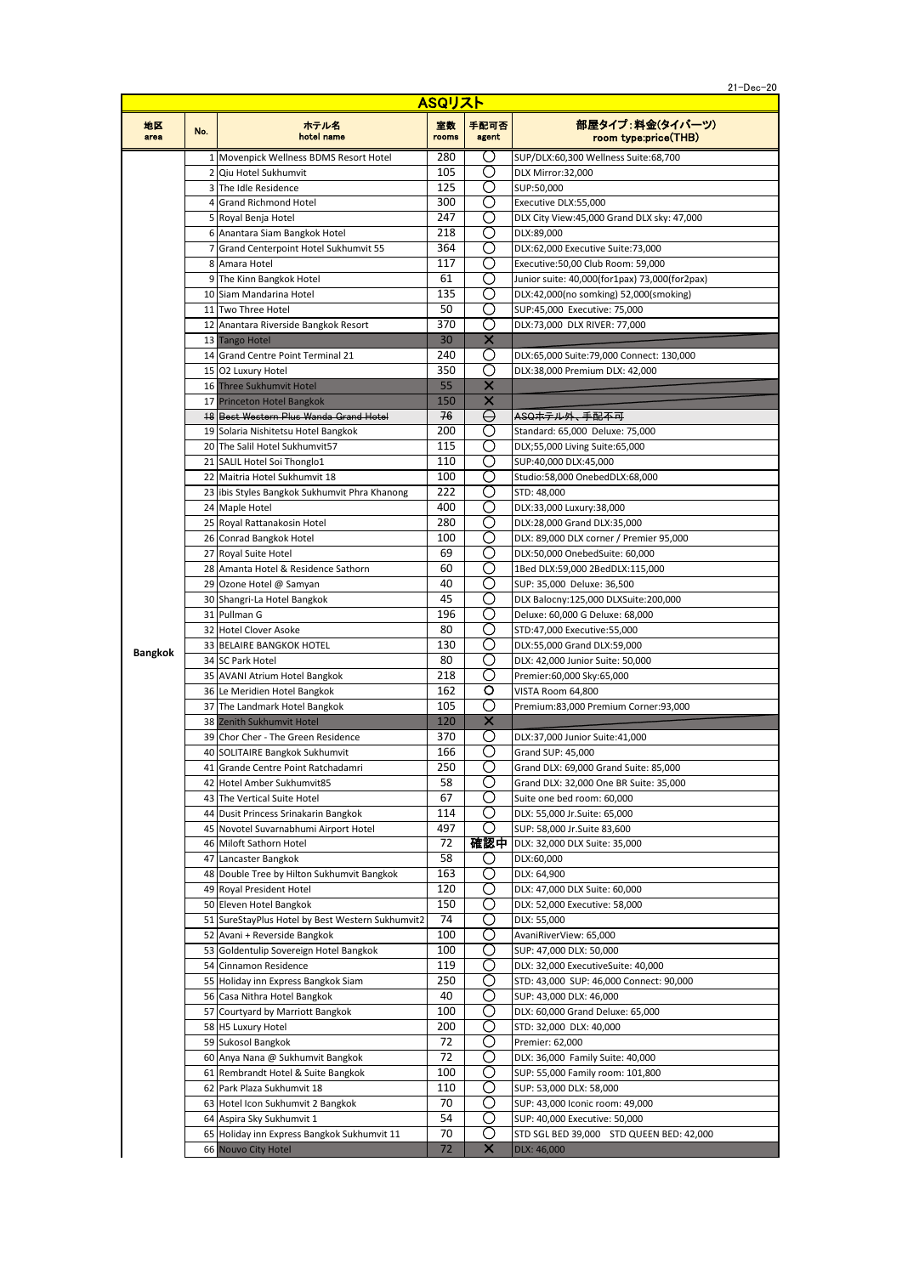| $21 - Dec - 20$<br>. . |
|------------------------|
|                        |
|                        |

| ASQリスト         |     |                                                                               |             |               |                                                                        |
|----------------|-----|-------------------------------------------------------------------------------|-------------|---------------|------------------------------------------------------------------------|
| 地区<br>area     | No. | ホテル名<br>hotel name                                                            | 室数<br>rooms | 手配可否<br>agent | 部屋タイプ:料金(タイバーツ)<br>room type:price(THB)                                |
|                |     | 1 Movenpick Wellness BDMS Resort Hotel                                        | 280         | O)            | SUP/DLX:60,300 Wellness Suite:68,700                                   |
|                |     | 2 Qiu Hotel Sukhumvit                                                         | 105         | O)            | DLX Mirror:32.000                                                      |
|                |     | 3 The Idle Residence                                                          | 125         | O             | SUP:50,000                                                             |
|                |     | 4 Grand Richmond Hotel                                                        | 300         | ( )           | Executive DLX:55,000                                                   |
|                |     | 5 Royal Benja Hotel                                                           | 247         | O             | DLX City View:45,000 Grand DLX sky: 47,000                             |
|                |     | 6 Anantara Siam Bangkok Hotel                                                 | 218         | O             | DLX:89,000                                                             |
|                |     | 7 Grand Centerpoint Hotel Sukhumvit 55                                        | 364         | ( )           | DLX:62,000 Executive Suite:73,000                                      |
|                |     | 8 Amara Hotel                                                                 | 117         | O             | Executive: 50,00 Club Room: 59,000                                     |
|                |     | 9 The Kinn Bangkok Hotel                                                      | 61<br>135   | ( )<br>O)     | Junior suite: 40,000(for1pax) 73,000(for2pax)                          |
|                |     | 10 Siam Mandarina Hotel<br>11 Two Three Hotel                                 | 50          | Ω             | DLX:42,000(no somking) 52,000(smoking)<br>SUP:45,000 Executive: 75,000 |
|                |     | 12 Anantara Riverside Bangkok Resort                                          | 370         | O             | DLX:73,000 DLX RIVER: 77,000                                           |
|                |     | 13 Tango Hotel                                                                | 30          | X             |                                                                        |
|                |     | 14 Grand Centre Point Terminal 21                                             | 240         | O             | DLX:65,000 Suite:79,000 Connect: 130,000                               |
|                |     | 15 O2 Luxury Hotel                                                            | 350         | O             | DLX:38,000 Premium DLX: 42,000                                         |
|                |     | 16 Three Sukhumvit Hotel                                                      | 55          | ×             |                                                                        |
|                |     | 17 Princeton Hotel Bangkok                                                    | 150         | $\times$      |                                                                        |
|                |     | <b>18 Best Western Plus Wanda Grand Hotel</b>                                 | 76          | ⊖             | ASQホテル外、手配不可                                                           |
|                |     | 19 Solaria Nishitetsu Hotel Bangkok                                           | 200         | O)            | Standard: 65,000 Deluxe: 75,000                                        |
|                |     | 20 The Salil Hotel Sukhumvit57                                                | 115         | ( )           | DLX;55,000 Living Suite:65,000                                         |
|                |     | 21 SALIL Hotel Soi Thonglo1                                                   | 110         | O)            | SUP:40,000 DLX:45,000                                                  |
|                |     | 22 Maitria Hotel Sukhumvit 18                                                 | 100         | O             | Studio:58,000 OnebedDLX:68,000                                         |
|                |     | 23 libis Styles Bangkok Sukhumvit Phra Khanong                                | 222         | ( )           | STD: 48,000                                                            |
|                |     | 24 Maple Hotel                                                                | 400         | ( )           | DLX:33,000 Luxury:38,000                                               |
|                |     | 25 Royal Rattanakosin Hotel                                                   | 280         | O             | DLX:28,000 Grand DLX:35,000                                            |
|                |     | 26 Conrad Bangkok Hotel                                                       | 100         | ( )           | DLX: 89,000 DLX corner / Premier 95,000                                |
|                |     | 27 Royal Suite Hotel                                                          | 69          | ( )<br>◯      | DLX:50,000 OnebedSuite: 60,000                                         |
|                |     | 28 Amanta Hotel & Residence Sathorn                                           | 60<br>40    | O)            | 1Bed DLX:59,000 2BedDLX:115,000                                        |
|                |     | 29 Ozone Hotel @ Samyan<br>30 Shangri-La Hotel Bangkok                        | 45          | O             | SUP: 35,000 Deluxe: 36,500<br>DLX Balocny:125,000 DLXSuite:200,000     |
|                |     | 31 Pullman G                                                                  | 196         | O             | Deluxe: 60,000 G Deluxe: 68,000                                        |
|                |     | 32 Hotel Clover Asoke                                                         | 80          | ( )           | STD:47,000 Executive:55,000                                            |
|                |     | <b>33 BELAIRE BANGKOK HOTEL</b>                                               | 130         | O             | DLX:55,000 Grand DLX:59,000                                            |
| <b>Bangkok</b> |     | 34 SC Park Hotel                                                              | 80          | O             | DLX: 42,000 Junior Suite: 50,000                                       |
|                |     | 35 AVANI Atrium Hotel Bangkok                                                 | 218         | ( )           | Premier:60,000 Sky:65,000                                              |
|                |     | 36 Le Meridien Hotel Bangkok                                                  | 162         | O             | VISTA Room 64,800                                                      |
|                |     | 37 The Landmark Hotel Bangkok                                                 | 105         | O             | Premium:83,000 Premium Corner:93,000                                   |
|                |     | 38 Zenith Sukhumvit Hotel                                                     | 120         | X             |                                                                        |
|                |     | 39 Chor Cher - The Green Residence                                            | 370         | O             | DLX:37,000 Junior Suite:41,000                                         |
|                |     | 40 SOLITAIRE Bangkok Sukhumvit                                                | 166         | O             | Grand SUP: 45,000                                                      |
|                |     | 41 Grande Centre Point Ratchadamri                                            | 250         | О             | Grand DLX: 69,000 Grand Suite: 85,000                                  |
|                |     | 42 Hotel Amber Sukhumvit85                                                    | 58          | ( )           | Grand DLX: 32,000 One BR Suite: 35,000                                 |
|                |     | 43 The Vertical Suite Hotel                                                   | 67          | ( )           | Suite one bed room: 60,000                                             |
|                |     | 44 Dusit Princess Srinakarin Bangkok<br>45 Novotel Suvarnabhumi Airport Hotel | 114<br>497  | O<br>( )      | DLX: 55,000 Jr.Suite: 65,000<br>SUP: 58,000 Jr.Suite 83,600            |
|                |     | 46 Miloft Sathorn Hotel                                                       | 72          |               | 確認中 DLX: 32,000 DLX Suite: 35,000                                      |
|                |     | 47 Lancaster Bangkok                                                          | 58          | O             | DLX:60,000                                                             |
|                |     | 48 Double Tree by Hilton Sukhumvit Bangkok                                    | 163         | O)            | DLX: 64,900                                                            |
|                |     | 49 Royal President Hotel                                                      | 120         | O             | DLX: 47,000 DLX Suite: 60,000                                          |
|                |     | 50 Eleven Hotel Bangkok                                                       | 150         | O             | DLX: 52,000 Executive: 58,000                                          |
|                |     | 51 SureStayPlus Hotel by Best Western Sukhumvit2                              | 74          | ( )           | DLX: 55,000                                                            |
|                |     | 52 Avani + Reverside Bangkok                                                  | 100         | ( )           | AvaniRiverView: 65,000                                                 |
|                |     | 53 Goldentulip Sovereign Hotel Bangkok                                        | 100         | O             | SUP: 47,000 DLX: 50,000                                                |
|                |     | 54 Cinnamon Residence                                                         | 119         | O             | DLX: 32,000 ExecutiveSuite: 40,000                                     |
|                |     | 55 Holiday inn Express Bangkok Siam                                           | 250         | O             | STD: 43,000 SUP: 46,000 Connect: 90,000                                |
|                |     | 56 Casa Nithra Hotel Bangkok                                                  | 40          | O)            | SUP: 43,000 DLX: 46,000                                                |
|                |     | 57 Courtyard by Marriott Bangkok                                              | 100         | ( )           | DLX: 60,000 Grand Deluxe: 65,000                                       |
|                |     | 58 H5 Luxury Hotel                                                            | 200         | O)            | STD: 32,000 DLX: 40,000                                                |
|                |     | 59 Sukosol Bangkok                                                            | 72          | O             | Premier: 62,000                                                        |
|                |     | 60 Anya Nana @ Sukhumvit Bangkok                                              | 72          | ( )<br>O      | DLX: 36,000 Family Suite: 40,000                                       |
|                |     | 61 Rembrandt Hotel & Suite Bangkok                                            | 100<br>110  | ( )           | SUP: 55,000 Family room: 101,800                                       |
|                |     | 62 Park Plaza Sukhumvit 18<br>63 Hotel Icon Sukhumvit 2 Bangkok               | 70          | ( )           | SUP: 53,000 DLX: 58,000<br>SUP: 43,000 Iconic room: 49,000             |
|                |     | 64 Aspira Sky Sukhumvit 1                                                     | 54          | ◯             | SUP: 40,000 Executive: 50,000                                          |
|                |     | 65 Holiday inn Express Bangkok Sukhumvit 11                                   | 70          | O             | STD SGL BED 39,000 STD QUEEN BED: 42,000                               |
|                |     | 66 Nouvo City Hotel                                                           | 72          | ×             | DLX: 46,000                                                            |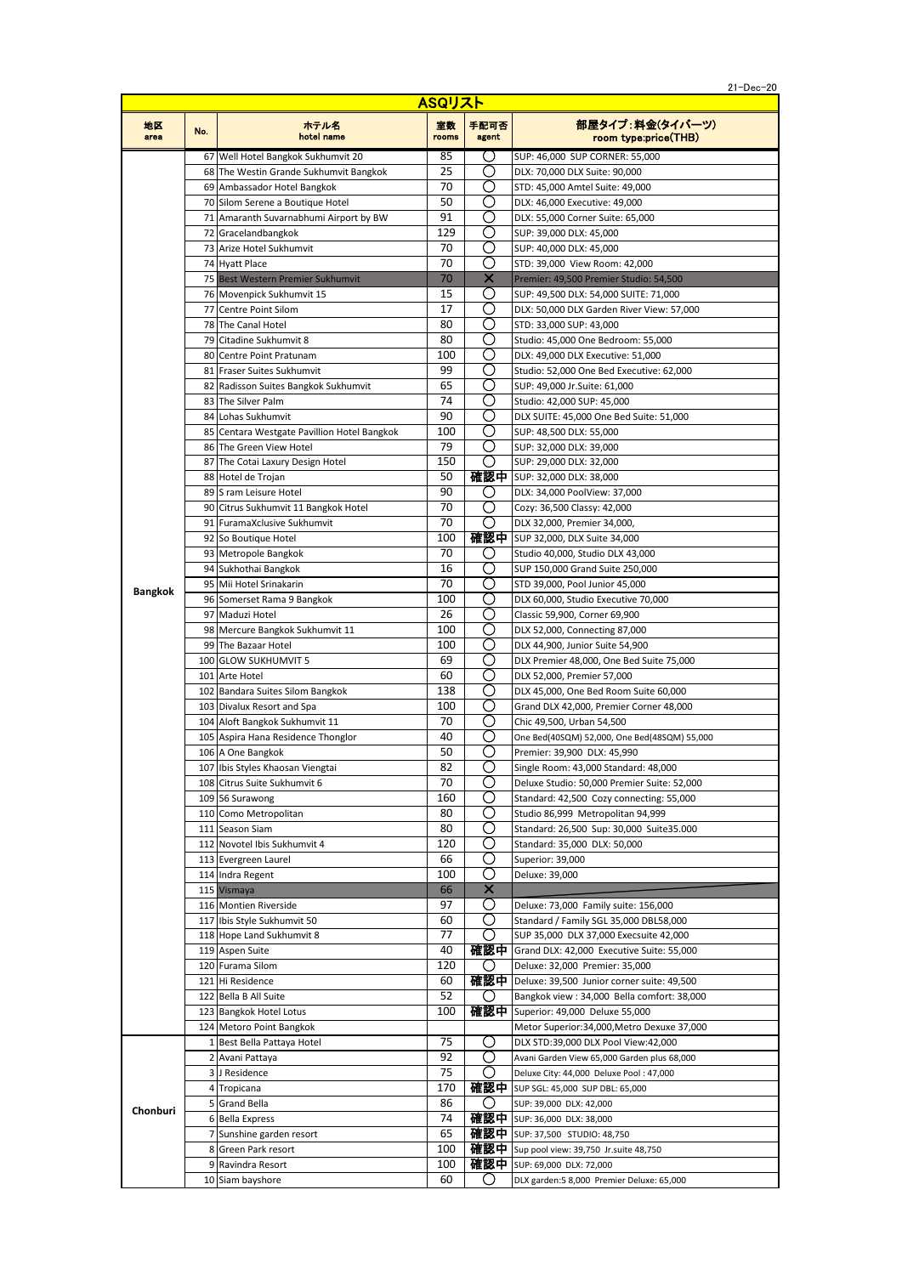21-Dec-20

| ASQリスト         |     |                                                                   |             |               |                                                                     |
|----------------|-----|-------------------------------------------------------------------|-------------|---------------|---------------------------------------------------------------------|
| 地区<br>area     | No. | ホテル名<br>hotel name                                                | 室数<br>rooms | 手配可否<br>agent | 部屋タイプ:料金(タイバーツ)<br>room type:price(THB)                             |
|                |     | 67 Well Hotel Bangkok Sukhumvit 20                                | 85          | ( )           | SUP: 46,000 SUP CORNER: 55,000                                      |
|                |     | 68 The Westin Grande Sukhumvit Bangkok                            | 25          | C)            | DLX: 70,000 DLX Suite: 90,000                                       |
|                |     | 69 Ambassador Hotel Bangkok                                       | 70          | O             | STD: 45,000 Amtel Suite: 49,000                                     |
|                |     | 70 Silom Serene a Boutique Hotel                                  | 50          | O)            | DLX: 46,000 Executive: 49,000                                       |
|                |     | 71 Amaranth Suvarnabhumi Airport by BW                            | 91          | O)<br>O       | DLX: 55,000 Corner Suite: 65,000                                    |
|                |     | 72 Gracelandbangkok<br>73 Arize Hotel Sukhumvit                   | 129<br>70   | O             | SUP: 39,000 DLX: 45,000                                             |
|                |     | 74 Hyatt Place                                                    | 70          | O             | SUP: 40,000 DLX: 45,000<br>STD: 39,000 View Room: 42,000            |
|                |     | 75 Best Western Premier Sukhumvit                                 | 70          | X             | Premier: 49,500 Premier Studio: 54,500                              |
|                |     | 76 Movenpick Sukhumvit 15                                         | 15          | ( )           | SUP: 49,500 DLX: 54,000 SUITE: 71,000                               |
|                |     | 77 Centre Point Silom                                             | 17          | Ο             | DLX: 50,000 DLX Garden River View: 57,000                           |
|                |     | 78 The Canal Hotel                                                | 80          | O)            | STD: 33,000 SUP: 43,000                                             |
|                |     | 79 Citadine Sukhumvit 8                                           | 80          | O             | Studio: 45,000 One Bedroom: 55,000                                  |
|                |     | 80 Centre Point Pratunam                                          | 100         | ◯             | DLX: 49,000 DLX Executive: 51,000                                   |
|                |     | 81 Fraser Suites Sukhumvit                                        | 99          | O             | Studio: 52,000 One Bed Executive: 62,000                            |
|                |     | 82 Radisson Suites Bangkok Sukhumvit                              | 65          | O             | SUP: 49,000 Jr. Suite: 61,000                                       |
|                |     | 83 The Silver Palm                                                | 74          | O             | Studio: 42,000 SUP: 45,000                                          |
|                |     | 84 Lohas Sukhumvit<br>85 Centara Westgate Pavillion Hotel Bangkok | 90<br>100   | O<br>O        | DLX SUITE: 45,000 One Bed Suite: 51,000                             |
|                |     | 86 The Green View Hotel                                           | 79          | O             | SUP: 48,500 DLX: 55,000<br>SUP: 32,000 DLX: 39,000                  |
|                |     | 87 The Cotai Laxury Design Hotel                                  | 150         | ( )           | SUP: 29,000 DLX: 32,000                                             |
|                |     | 88 Hotel de Trojan                                                | 50          |               | 確認中   SUP: 32,000 DLX: 38,000                                       |
|                |     | 89 S ram Leisure Hotel                                            | 90          | O)            | DLX: 34,000 PoolView: 37,000                                        |
|                |     | 90 Citrus Sukhumvit 11 Bangkok Hotel                              | 70          | O             | Cozy: 36,500 Classy: 42,000                                         |
|                |     | 91 FuramaXclusive Sukhumvit                                       | 70          | O             | DLX 32,000, Premier 34,000,                                         |
|                |     | 92 So Boutique Hotel                                              | 100         |               | 確認中 SUP 32,000, DLX Suite 34,000                                    |
|                |     | 93 Metropole Bangkok                                              | 70          | ( )           | Studio 40,000, Studio DLX 43,000                                    |
|                |     | 94 Sukhothai Bangkok                                              | 16          | O             | SUP 150,000 Grand Suite 250,000                                     |
| <b>Bangkok</b> |     | 95 Mii Hotel Srinakarin                                           | 70          | O             | STD 39,000, Pool Junior 45,000                                      |
|                |     | 96 Somerset Rama 9 Bangkok                                        | 100         | O             | DLX 60,000, Studio Executive 70,000                                 |
|                |     | 97 Maduzi Hotel                                                   | 26          | O)            | Classic 59,900, Corner 69,900                                       |
|                |     | 98 Mercure Bangkok Sukhumvit 11                                   | 100         | O             | DLX 52,000, Connecting 87,000                                       |
|                |     | 99 The Bazaar Hotel                                               | 100         | O             | DLX 44,900, Junior Suite 54,900                                     |
|                |     | 100 GLOW SUKHUMVIT 5                                              | 69          | O<br>( )      | DLX Premier 48,000, One Bed Suite 75,000                            |
|                |     | 101 Arte Hotel<br>102 Bandara Suites Silom Bangkok                | 60<br>138   | O             | DLX 52,000, Premier 57,000<br>DLX 45,000, One Bed Room Suite 60,000 |
|                |     | 103 Divalux Resort and Spa                                        | 100         | O             | Grand DLX 42,000, Premier Corner 48,000                             |
|                |     | 104 Aloft Bangkok Sukhumvit 11                                    | 70          | ( )           | Chic 49,500, Urban 54,500                                           |
|                |     | 105 Aspira Hana Residence Thonglor                                | 40          | ◯             | One Bed(40SQM) 52,000, One Bed(48SQM) 55,000                        |
|                |     | 106 A One Bangkok                                                 | 50          | O             | Premier: 39,900 DLX: 45,990                                         |
|                |     | 107 Ibis Styles Khaosan Viengtai                                  | 82          | О             | Single Room: 43,000 Standard: 48,000                                |
|                |     | 108 Citrus Suite Sukhumvit 6                                      | 70          | O             | Deluxe Studio: 50,000 Premier Suite: 52,000                         |
|                |     | 109 56 Surawong                                                   | 160         | O             | Standard: 42,500 Cozy connecting: 55,000                            |
|                |     | 110 Como Metropolitan                                             | 80          | O             | Studio 86,999 Metropolitan 94,999                                   |
|                |     | 111 Season Siam                                                   | 80          | ( )           | Standard: 26,500 Sup: 30,000 Suite35.000                            |
|                |     | 112 Novotel Ibis Sukhumvit 4                                      | 120         | ( )           | Standard: 35,000 DLX: 50,000                                        |
|                |     | 113 Evergreen Laurel                                              | 66<br>100   | O<br>( )      | Superior: 39,000<br>Deluxe: 39.000                                  |
|                |     | 114 Indra Regent<br>115 Vismaya                                   | 66          | X             |                                                                     |
|                |     | 116 Montien Riverside                                             | 97          | O)            | Deluxe: 73,000 Family suite: 156,000                                |
|                |     | 117 Ibis Style Sukhumvit 50                                       | 60          | O             | Standard / Family SGL 35,000 DBL58,000                              |
|                |     | 118 Hope Land Sukhumvit 8                                         | 77          | O             | SUP 35,000 DLX 37,000 Execsuite 42,000                              |
|                |     | 119 Aspen Suite                                                   | 40          |               | 確認中 Grand DLX: 42,000 Executive Suite: 55,000                       |
|                |     | 120 Furama Silom                                                  | 120         | Ő             | Deluxe: 32,000 Premier: 35,000                                      |
|                |     | 121 Hi Residence                                                  | 60          |               | 確認中   Deluxe: 39,500 Junior corner suite: 49,500                    |
|                |     | 122 Bella B All Suite                                             | 52          | ( )           | Bangkok view: 34,000 Bella comfort: 38,000                          |
|                |     | 123 Bangkok Hotel Lotus                                           | 100         |               | 確認中 Superior: 49,000 Deluxe 55,000                                  |
|                |     | 124 Metoro Point Bangkok                                          |             |               | Metor Superior:34,000, Metro Dexuxe 37,000                          |
|                |     | 1 Best Bella Pattaya Hotel                                        | 75          | ( )           | DLX STD:39,000 DLX Pool View:42,000                                 |
| Chonburi       |     | 2 Avani Pattaya                                                   | 92          | ( )           | Avani Garden View 65,000 Garden plus 68,000                         |
|                |     | 3 J Residence                                                     | 75          | O             | Deluxe City: 44,000 Deluxe Pool: 47,000                             |
|                |     | 4 Tropicana                                                       | 170<br>86   | Ő             | 確認中   SUP SGL: 45,000 SUP DBL: 65,000                               |
|                |     | 5 Grand Bella<br>6 Bella Express                                  | 74          |               | SUP: 39,000 DLX: 42,000<br>確認中   SUP: 36,000 DLX: 38,000            |
|                |     | 7 Sunshine garden resort                                          | 65          |               | 確認中   SUP: 37,500 STUDIO: 48,750                                    |
|                |     | 8 Green Park resort                                               | 100         |               | 確認中 Sup pool view: 39,750 Jr.suite 48,750                           |
|                |     | 9 Ravindra Resort                                                 | 100         |               | 確認中 SUP: 69,000 DLX: 72,000                                         |
|                |     | 10 Siam bayshore                                                  | 60          | ( )           | DLX garden:5 8,000 Premier Deluxe: 65,000                           |

Ĩ.